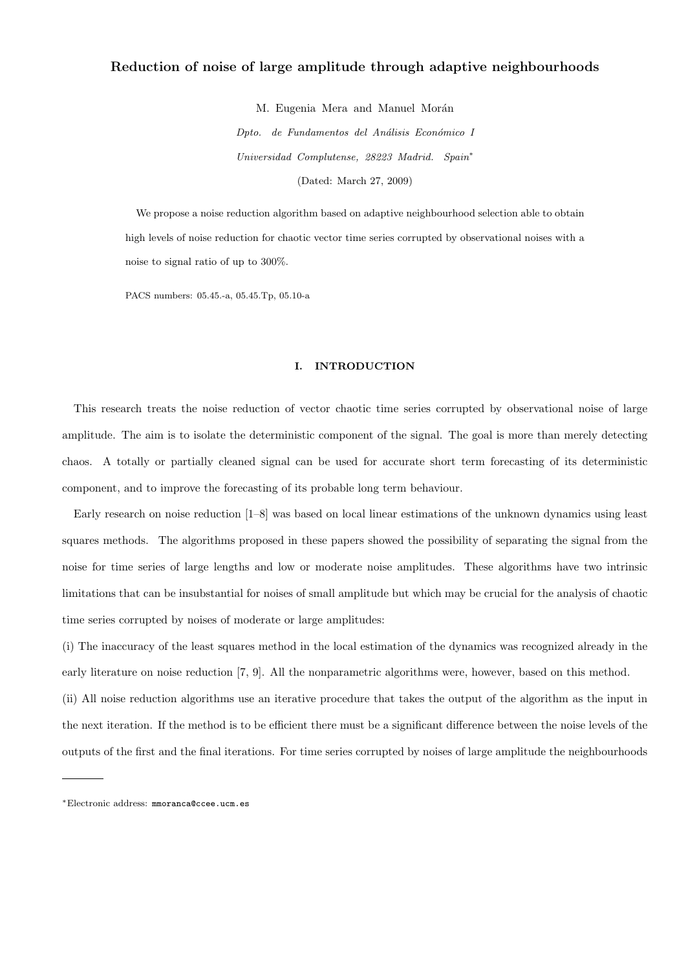# Reduction of noise of large amplitude through adaptive neighbourhoods

M. Eugenia Mera and Manuel Morán

Dpto. de Fundamentos del Análisis Económico I Universidad Complutense, 28223 Madrid. Spain<sup>∗</sup> (Dated: March 27, 2009)

We propose a noise reduction algorithm based on adaptive neighbourhood selection able to obtain high levels of noise reduction for chaotic vector time series corrupted by observational noises with a noise to signal ratio of up to 300%.

PACS numbers: 05.45.-a, 05.45.Tp, 05.10-a

### I. INTRODUCTION

This research treats the noise reduction of vector chaotic time series corrupted by observational noise of large amplitude. The aim is to isolate the deterministic component of the signal. The goal is more than merely detecting chaos. A totally or partially cleaned signal can be used for accurate short term forecasting of its deterministic component, and to improve the forecasting of its probable long term behaviour.

Early research on noise reduction [1–8] was based on local linear estimations of the unknown dynamics using least squares methods. The algorithms proposed in these papers showed the possibility of separating the signal from the noise for time series of large lengths and low or moderate noise amplitudes. These algorithms have two intrinsic limitations that can be insubstantial for noises of small amplitude but which may be crucial for the analysis of chaotic time series corrupted by noises of moderate or large amplitudes:

(i) The inaccuracy of the least squares method in the local estimation of the dynamics was recognized already in the early literature on noise reduction [7, 9]. All the nonparametric algorithms were, however, based on this method.

(ii) All noise reduction algorithms use an iterative procedure that takes the output of the algorithm as the input in the next iteration. If the method is to be efficient there must be a significant difference between the noise levels of the outputs of the first and the final iterations. For time series corrupted by noises of large amplitude the neighbourhoods

<sup>∗</sup>Electronic address: mmoranca@ccee.ucm.es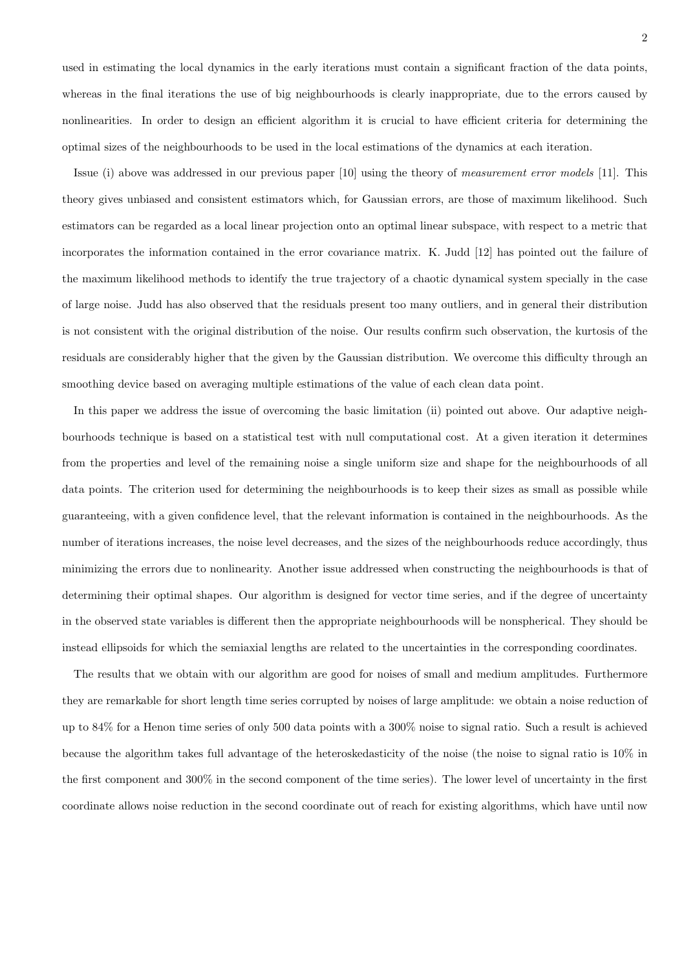used in estimating the local dynamics in the early iterations must contain a significant fraction of the data points, whereas in the final iterations the use of big neighbourhoods is clearly inappropriate, due to the errors caused by nonlinearities. In order to design an efficient algorithm it is crucial to have efficient criteria for determining the optimal sizes of the neighbourhoods to be used in the local estimations of the dynamics at each iteration.

Issue (i) above was addressed in our previous paper [10] using the theory of measurement error models [11]. This theory gives unbiased and consistent estimators which, for Gaussian errors, are those of maximum likelihood. Such estimators can be regarded as a local linear projection onto an optimal linear subspace, with respect to a metric that incorporates the information contained in the error covariance matrix. K. Judd [12] has pointed out the failure of the maximum likelihood methods to identify the true trajectory of a chaotic dynamical system specially in the case of large noise. Judd has also observed that the residuals present too many outliers, and in general their distribution is not consistent with the original distribution of the noise. Our results confirm such observation, the kurtosis of the residuals are considerably higher that the given by the Gaussian distribution. We overcome this difficulty through an smoothing device based on averaging multiple estimations of the value of each clean data point.

In this paper we address the issue of overcoming the basic limitation (ii) pointed out above. Our adaptive neighbourhoods technique is based on a statistical test with null computational cost. At a given iteration it determines from the properties and level of the remaining noise a single uniform size and shape for the neighbourhoods of all data points. The criterion used for determining the neighbourhoods is to keep their sizes as small as possible while guaranteeing, with a given confidence level, that the relevant information is contained in the neighbourhoods. As the number of iterations increases, the noise level decreases, and the sizes of the neighbourhoods reduce accordingly, thus minimizing the errors due to nonlinearity. Another issue addressed when constructing the neighbourhoods is that of determining their optimal shapes. Our algorithm is designed for vector time series, and if the degree of uncertainty in the observed state variables is different then the appropriate neighbourhoods will be nonspherical. They should be instead ellipsoids for which the semiaxial lengths are related to the uncertainties in the corresponding coordinates.

The results that we obtain with our algorithm are good for noises of small and medium amplitudes. Furthermore they are remarkable for short length time series corrupted by noises of large amplitude: we obtain a noise reduction of up to 84% for a Henon time series of only 500 data points with a 300% noise to signal ratio. Such a result is achieved because the algorithm takes full advantage of the heteroskedasticity of the noise (the noise to signal ratio is 10% in the first component and 300% in the second component of the time series). The lower level of uncertainty in the first coordinate allows noise reduction in the second coordinate out of reach for existing algorithms, which have until now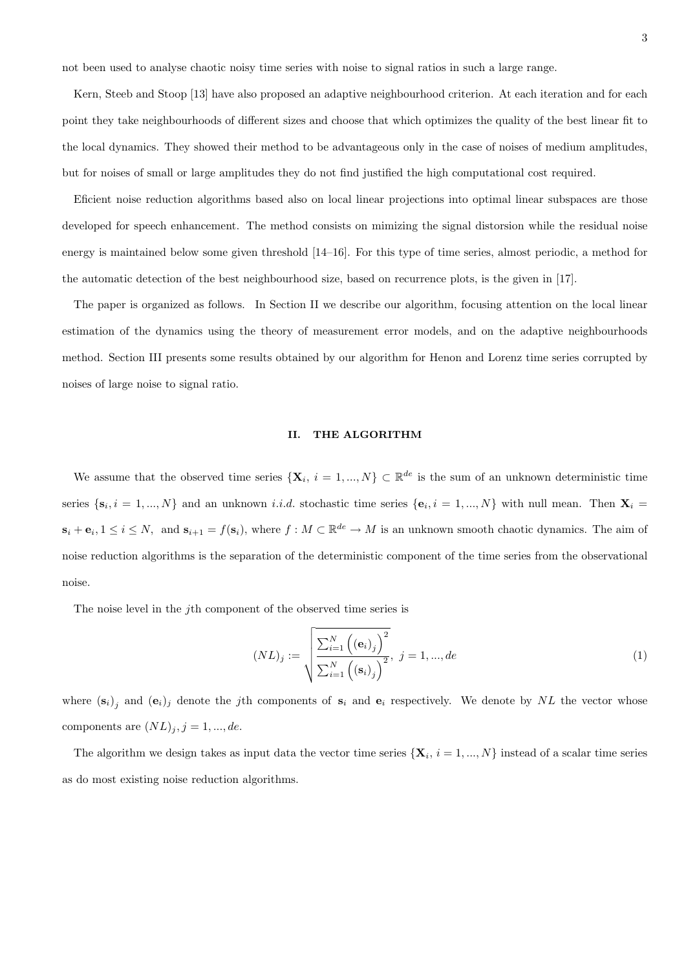not been used to analyse chaotic noisy time series with noise to signal ratios in such a large range.

Kern, Steeb and Stoop [13] have also proposed an adaptive neighbourhood criterion. At each iteration and for each point they take neighbourhoods of different sizes and choose that which optimizes the quality of the best linear fit to the local dynamics. They showed their method to be advantageous only in the case of noises of medium amplitudes, but for noises of small or large amplitudes they do not find justified the high computational cost required.

Eficient noise reduction algorithms based also on local linear projections into optimal linear subspaces are those developed for speech enhancement. The method consists on mimizing the signal distorsion while the residual noise energy is maintained below some given threshold [14–16]. For this type of time series, almost periodic, a method for the automatic detection of the best neighbourhood size, based on recurrence plots, is the given in [17].

The paper is organized as follows. In Section II we describe our algorithm, focusing attention on the local linear estimation of the dynamics using the theory of measurement error models, and on the adaptive neighbourhoods method. Section III presents some results obtained by our algorithm for Henon and Lorenz time series corrupted by noises of large noise to signal ratio.

### II. THE ALGORITHM

We assume that the observed time series  $\{X_i, i = 1, ..., N\} \subset \mathbb{R}^{de}$  is the sum of an unknown deterministic time series  $\{\mathbf{s}_i, i = 1, ..., N\}$  and an unknown *i.i.d.* stochastic time series  $\{\mathbf{e}_i, i = 1, ..., N\}$  with null mean. Then  $\mathbf{X}_i =$  $s_i + e_i, 1 \leq i \leq N$ , and  $s_{i+1} = f(s_i)$ , where  $f : M \subset \mathbb{R}^{de} \to M$  is an unknown smooth chaotic dynamics. The aim of noise reduction algorithms is the separation of the deterministic component of the time series from the observational noise.

The noise level in the *j*th component of the observed time series is

$$
(NL)_j := \sqrt{\frac{\sum_{i=1}^{N} ((\mathbf{e}_i)_j)^2}{\sum_{i=1}^{N} ((\mathbf{s}_i)_j)^2}}, \ j = 1, ..., de
$$
 (1)

where  $(s_i)_j$  and  $(e_i)_j$  denote the jth components of  $s_i$  and  $e_i$  respectively. We denote by NL the vector whose components are  $(NL)_{j}$ ,  $j = 1, ..., de$ .

The algorithm we design takes as input data the vector time series  $\{X_i, i = 1, ..., N\}$  instead of a scalar time series as do most existing noise reduction algorithms.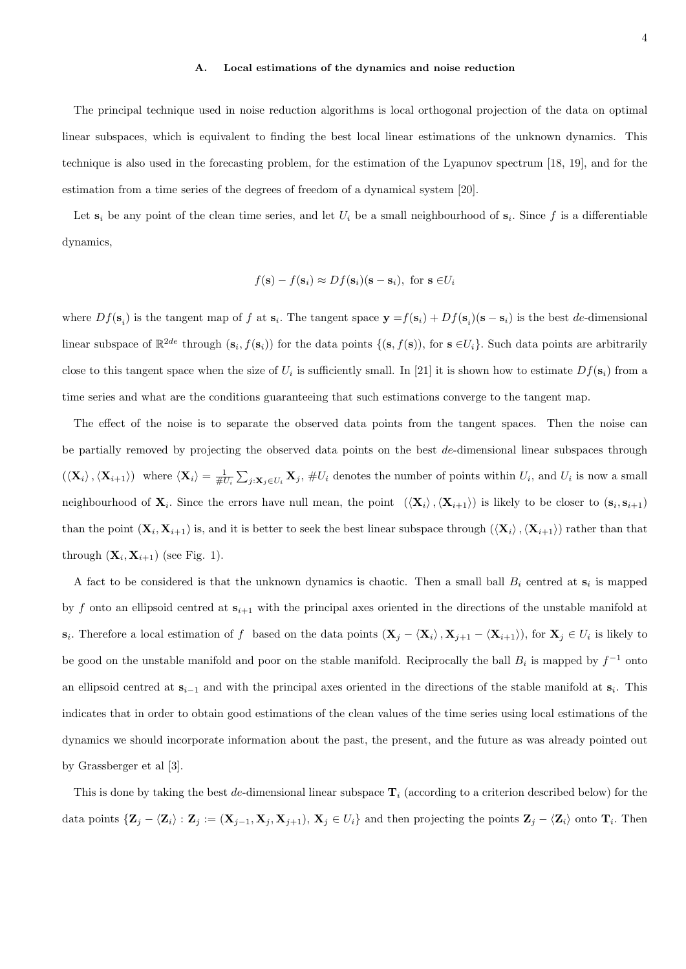### A. Local estimations of the dynamics and noise reduction

The principal technique used in noise reduction algorithms is local orthogonal projection of the data on optimal linear subspaces, which is equivalent to finding the best local linear estimations of the unknown dynamics. This technique is also used in the forecasting problem, for the estimation of the Lyapunov spectrum [18, 19], and for the estimation from a time series of the degrees of freedom of a dynamical system [20].

Let  $s_i$  be any point of the clean time series, and let  $U_i$  be a small neighbourhood of  $s_i$ . Since f is a differentiable dynamics,

$$
f(\mathbf{s}) - f(\mathbf{s}_i) \approx Df(\mathbf{s}_i)(\mathbf{s} - \mathbf{s}_i)
$$
, for  $\mathbf{s} \in U_i$ 

where  $Df(\mathbf{s}_i)$  is the tangent map of f at  $\mathbf{s}_i$ . The tangent space  $\mathbf{y} = f(\mathbf{s}_i) + Df(\mathbf{s}_i)(\mathbf{s} - \mathbf{s}_i)$  is the best de-dimensional linear subspace of  $\mathbb{R}^{2de}$  through  $(\mathbf{s}_i, f(\mathbf{s}_i))$  for the data points  $\{(\mathbf{s}, f(\mathbf{s}))\}$ , for  $\mathbf{s} \in U_i\}$ . Such data points are arbitrarily close to this tangent space when the size of  $U_i$  is sufficiently small. In [21] it is shown how to estimate  $Df(\mathbf{s}_i)$  from a time series and what are the conditions guaranteeing that such estimations converge to the tangent map.

The effect of the noise is to separate the observed data points from the tangent spaces. Then the noise can be partially removed by projecting the observed data points on the best de-dimensional linear subspaces through  $(\langle \mathbf{X}_i \rangle, \langle \mathbf{X}_{i+1} \rangle)$  where  $\langle \mathbf{X}_i \rangle = \frac{1}{\#U_i} \sum_{j: \mathbf{X}_j \in U_i} \mathbf{X}_j$ ,  $\#U_i$  denotes the number of points within  $U_i$ , and  $U_i$  is now a small neighbourhood of  $X_i$ . Since the errors have null mean, the point  $(\langle X_i \rangle, \langle X_{i+1} \rangle)$  is likely to be closer to  $(s_i, s_{i+1})$ than the point  $(\mathbf{X}_i, \mathbf{X}_{i+1})$  is, and it is better to seek the best linear subspace through  $(\langle \mathbf{X}_i \rangle, \langle \mathbf{X}_{i+1} \rangle)$  rather than that through  $(\mathbf{X}_i, \mathbf{X}_{i+1})$  (see Fig. 1).

A fact to be considered is that the unknown dynamics is chaotic. Then a small ball  $B_i$  centred at  $s_i$  is mapped by f onto an ellipsoid centred at  $s_{i+1}$  with the principal axes oriented in the directions of the unstable manifold at  $\mathbf{s}_i$ . Therefore a local estimation of f based on the data points  $(\mathbf{X}_j - \langle \mathbf{X}_i \rangle, \mathbf{X}_{j+1} - \langle \mathbf{X}_{i+1} \rangle)$ , for  $\mathbf{X}_j \in U_i$  is likely to be good on the unstable manifold and poor on the stable manifold. Reciprocally the ball  $B_i$  is mapped by  $f^{-1}$  onto an ellipsoid centred at  $s_{i-1}$  and with the principal axes oriented in the directions of the stable manifold at  $s_i$ . This indicates that in order to obtain good estimations of the clean values of the time series using local estimations of the dynamics we should incorporate information about the past, the present, and the future as was already pointed out by Grassberger et al [3].

This is done by taking the best de-dimensional linear subspace  $T_i$  (according to a criterion described below) for the data points  $\{Z_j - \langle Z_i \rangle : Z_j := (X_{j-1}, X_j, X_{j+1}), X_j \in U_i\}$  and then projecting the points  $Z_j - \langle Z_i \rangle$  onto  $T_i$ . Then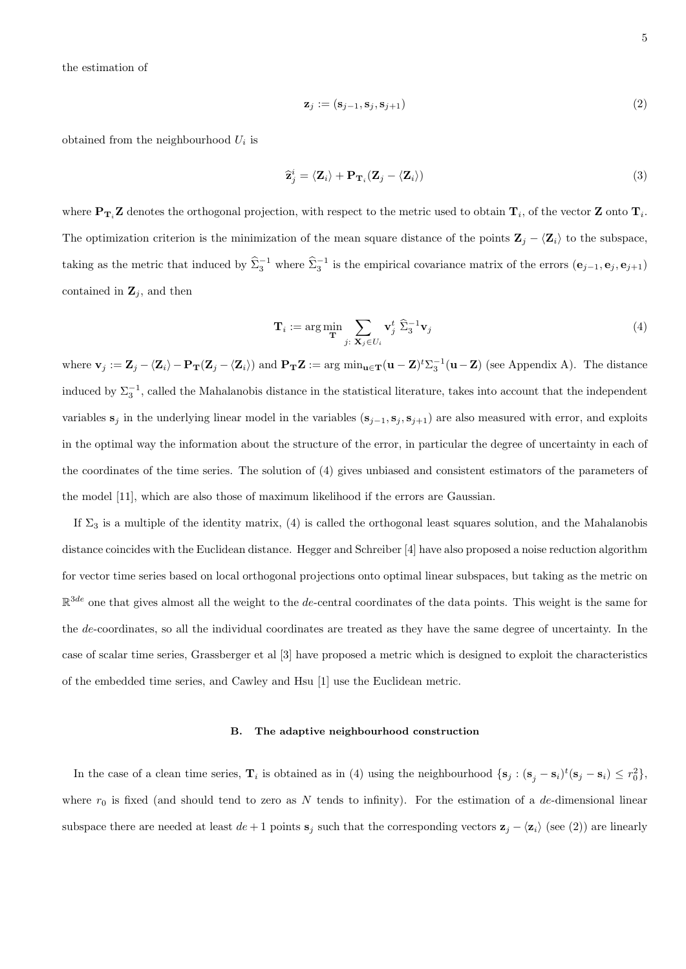the estimation of

$$
\mathbf{z}_j := (\mathbf{s}_{j-1}, \mathbf{s}_j, \mathbf{s}_{j+1}) \tag{2}
$$

obtained from the neighbourhood  $U_i$  is

$$
\hat{\mathbf{z}}_j^i = \langle \mathbf{Z}_i \rangle + \mathbf{P}_{\mathbf{T}_i} (\mathbf{Z}_j - \langle \mathbf{Z}_i \rangle) \tag{3}
$$

where  $P_{T_i}Z$  denotes the orthogonal projection, with respect to the metric used to obtain  $T_i$ , of the vector Z onto  $T_i$ . The optimization criterion is the minimization of the mean square distance of the points  $\mathbf{Z}_j - \langle \mathbf{Z}_i \rangle$  to the subspace, taking as the metric that induced by  $\hat{\Sigma}_3^{-1}$  where  $\hat{\Sigma}_3^{-1}$  is the empirical covariance matrix of the errors  $(e_{j-1}, e_j, e_{j+1})$ contained in  $\mathbf{Z}_j$ , and then

$$
\mathbf{T}_i := \arg\min_{\mathbf{T}} \sum_{j: \ \mathbf{X}_j \in U_i} \mathbf{v}_j^t \ \hat{\Sigma}_3^{-1} \mathbf{v}_j \tag{4}
$$

where  $\mathbf{v}_j := \mathbf{Z}_j - \langle \mathbf{Z}_i \rangle - \mathbf{P}_{\mathbf{T}}(\mathbf{Z}_j - \langle \mathbf{Z}_i \rangle)$  and  $\mathbf{P}_{\mathbf{T}}\mathbf{Z} := \arg \min_{\mathbf{u} \in \mathbf{T}} (\mathbf{u} - \mathbf{Z})^t \sum_3^{-1} (\mathbf{u} - \mathbf{Z})$  (see Appendix A). The distance induced by  $\Sigma_3^{-1}$ , called the Mahalanobis distance in the statistical literature, takes into account that the independent variables  $s_j$  in the underlying linear model in the variables  $(s_{j-1}, s_j, s_{j+1})$  are also measured with error, and exploits in the optimal way the information about the structure of the error, in particular the degree of uncertainty in each of the coordinates of the time series. The solution of (4) gives unbiased and consistent estimators of the parameters of the model [11], which are also those of maximum likelihood if the errors are Gaussian.

If  $\Sigma_3$  is a multiple of the identity matrix, (4) is called the orthogonal least squares solution, and the Mahalanobis distance coincides with the Euclidean distance. Hegger and Schreiber [4] have also proposed a noise reduction algorithm for vector time series based on local orthogonal projections onto optimal linear subspaces, but taking as the metric on  $\mathbb{R}^{3de}$  one that gives almost all the weight to the de-central coordinates of the data points. This weight is the same for the de-coordinates, so all the individual coordinates are treated as they have the same degree of uncertainty. In the case of scalar time series, Grassberger et al [3] have proposed a metric which is designed to exploit the characteristics of the embedded time series, and Cawley and Hsu [1] use the Euclidean metric.

#### B. The adaptive neighbourhood construction

In the case of a clean time series,  $\mathbf{T}_i$  is obtained as in (4) using the neighbourhood  $\{\mathbf{s}_j : (\mathbf{s}_j - \mathbf{s}_i)^t (\mathbf{s}_j - \mathbf{s}_i) \leq r_0^2\}$ , where  $r_0$  is fixed (and should tend to zero as N tends to infinity). For the estimation of a de-dimensional linear subspace there are needed at least  $de + 1$  points  $s_j$  such that the corresponding vectors  $z_j - \langle z_i \rangle$  (see (2)) are linearly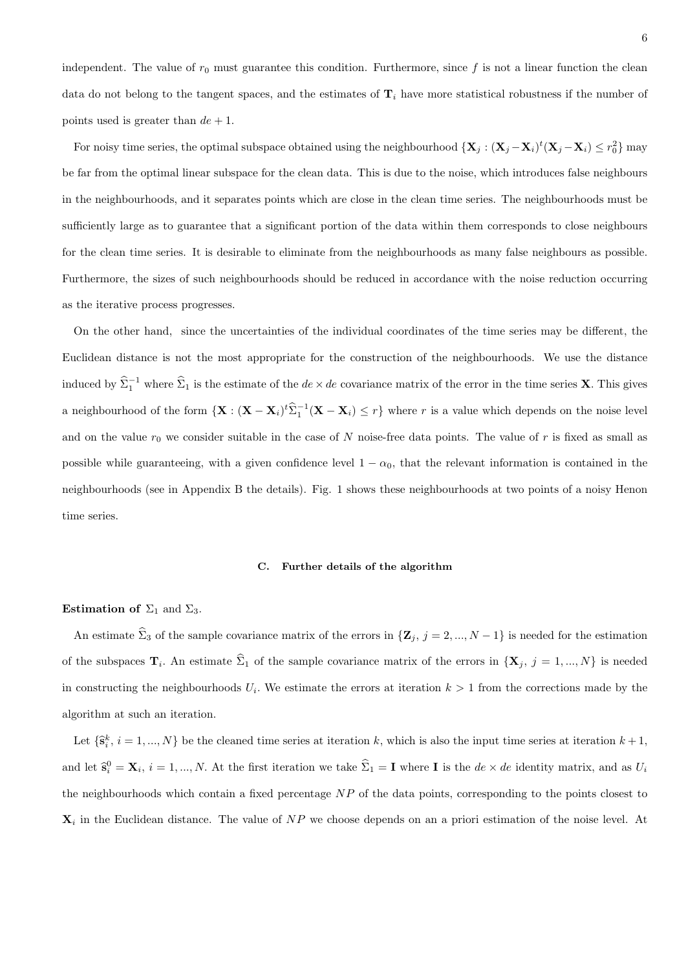independent. The value of  $r_0$  must guarantee this condition. Furthermore, since f is not a linear function the clean data do not belong to the tangent spaces, and the estimates of  $T_i$  have more statistical robustness if the number of points used is greater than  $de + 1$ .

For noisy time series, the optimal subspace obtained using the neighbourhood  $\{X_j : (X_j - X_i)^t (X_j - X_i) \leq r_0^2\}$  may be far from the optimal linear subspace for the clean data. This is due to the noise, which introduces false neighbours in the neighbourhoods, and it separates points which are close in the clean time series. The neighbourhoods must be sufficiently large as to guarantee that a significant portion of the data within them corresponds to close neighbours for the clean time series. It is desirable to eliminate from the neighbourhoods as many false neighbours as possible. Furthermore, the sizes of such neighbourhoods should be reduced in accordance with the noise reduction occurring as the iterative process progresses.

On the other hand, since the uncertainties of the individual coordinates of the time series may be different, the Euclidean distance is not the most appropriate for the construction of the neighbourhoods. We use the distance induced by  $\hat{\Sigma}_1^{-1}$  where  $\hat{\Sigma}_1$  is the estimate of the  $de \times de$  covariance matrix of the error in the time series **X**. This gives a neighbourhood of the form  $\{X: (X - X_i)^t\widehat{\Sigma}_1^{-1}(X - X_i) \leq r\}$  where r is a value which depends on the noise level and on the value  $r_0$  we consider suitable in the case of N noise-free data points. The value of r is fixed as small as possible while guaranteeing, with a given confidence level  $1 - \alpha_0$ , that the relevant information is contained in the neighbourhoods (see in Appendix B the details). Fig. 1 shows these neighbourhoods at two points of a noisy Henon time series.

#### C. Further details of the algorithm

### Estimation of  $\Sigma_1$  and  $\Sigma_3$ .

An estimate  $\hat{\Sigma}_3$  of the sample covariance matrix of the errors in  $\{Z_j, j = 2, ..., N-1\}$  is needed for the estimation of the subspaces  $\mathbf{T}_i$ . An estimate  $\Sigma_1$  of the sample covariance matrix of the errors in  $\{\mathbf{X}_j, j = 1, ..., N\}$  is needed in constructing the neighbourhoods  $U_i$ . We estimate the errors at iteration  $k > 1$  from the corrections made by the algorithm at such an iteration.

Let  $\{\hat{\mathbf{s}}_i^k, i = 1, ..., N\}$  be the cleaned time series at iteration k, which is also the input time series at iteration  $k+1$ , and let  $\hat{\mathbf{s}}_i^0 = \mathbf{X}_i$ ,  $i = 1, ..., N$ . At the first iteration we take  $\hat{\Sigma}_1 = \mathbf{I}$  where **I** is the  $de \times de$  identity matrix, and as  $U_i$ the neighbourhoods which contain a fixed percentage  $NP$  of the data points, corresponding to the points closest to  $\mathbf{X}_i$  in the Euclidean distance. The value of NP we choose depends on an a priori estimation of the noise level. At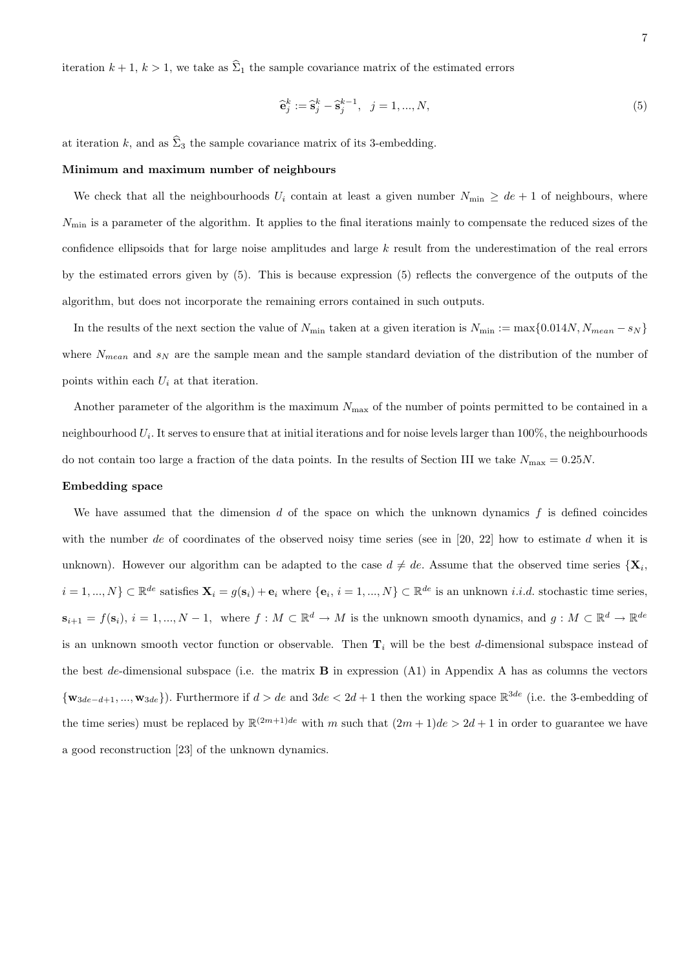iteration  $k + 1$ ,  $k > 1$ , we take as  $\widehat{\Sigma}_1$  the sample covariance matrix of the estimated errors

$$
\hat{\mathbf{e}}_j^k := \hat{\mathbf{s}}_j^k - \hat{\mathbf{s}}_j^{k-1}, \ \ j = 1, ..., N,
$$
\n(5)

at iteration k, and as  $\hat{\Sigma}_3$  the sample covariance matrix of its 3-embedding.

#### Minimum and maximum number of neighbours

We check that all the neighbourhoods  $U_i$  contain at least a given number  $N_{\min} \geq de + 1$  of neighbours, where  $N_{\text{min}}$  is a parameter of the algorithm. It applies to the final iterations mainly to compensate the reduced sizes of the confidence ellipsoids that for large noise amplitudes and large k result from the underestimation of the real errors by the estimated errors given by (5). This is because expression (5) reflects the convergence of the outputs of the algorithm, but does not incorporate the remaining errors contained in such outputs.

In the results of the next section the value of  $N_{\text{min}}$  taken at a given iteration is  $N_{\text{min}} := \max\{0.014N, N_{mean} - s_N\}$ where  $N_{mean}$  and  $s_N$  are the sample mean and the sample standard deviation of the distribution of the number of points within each  $U_i$  at that iteration.

Another parameter of the algorithm is the maximum  $N_{\text{max}}$  of the number of points permitted to be contained in a neighbourhood  $U_i$ . It serves to ensure that at initial iterations and for noise levels larger than 100%, the neighbourhoods do not contain too large a fraction of the data points. In the results of Section III we take  $N_{\text{max}} = 0.25N$ .

#### Embedding space

We have assumed that the dimension  $d$  of the space on which the unknown dynamics  $f$  is defined coincides with the number de of coordinates of the observed noisy time series (see in [20, 22] how to estimate d when it is unknown). However our algorithm can be adapted to the case  $d \neq de$ . Assume that the observed time series  ${X_i}$ ,  $i = 1, ..., N$   $\subset \mathbb{R}^{de}$  satisfies  $\mathbf{X}_i = g(\mathbf{s}_i) + \mathbf{e}_i$  where  $\{\mathbf{e}_i, i = 1, ..., N\} \subset \mathbb{R}^{de}$  is an unknown *i.i.d.* stochastic time series,  $\mathbf{s}_{i+1} = f(\mathbf{s}_i), i = 1, ..., N-1$ , where  $f : M \subset \mathbb{R}^d \to M$  is the unknown smooth dynamics, and  $g : M \subset \mathbb{R}^d \to \mathbb{R}^{de}$ is an unknown smooth vector function or observable. Then  $\mathbf{T}_i$  will be the best d-dimensional subspace instead of the best de-dimensional subspace (i.e. the matrix  $\bf{B}$  in expression (A1) in Appendix A has as columns the vectors  $\{w_{3de-d+1},...,w_{3de}\}\)$ . Furthermore if  $d > de$  and  $3de < 2d+1$  then the working space  $\mathbb{R}^{3de}$  (i.e. the 3-embedding of the time series) must be replaced by  $\mathbb{R}^{(2m+1)de}$  with m such that  $(2m+1)de > 2d+1$  in order to guarantee we have a good reconstruction [23] of the unknown dynamics.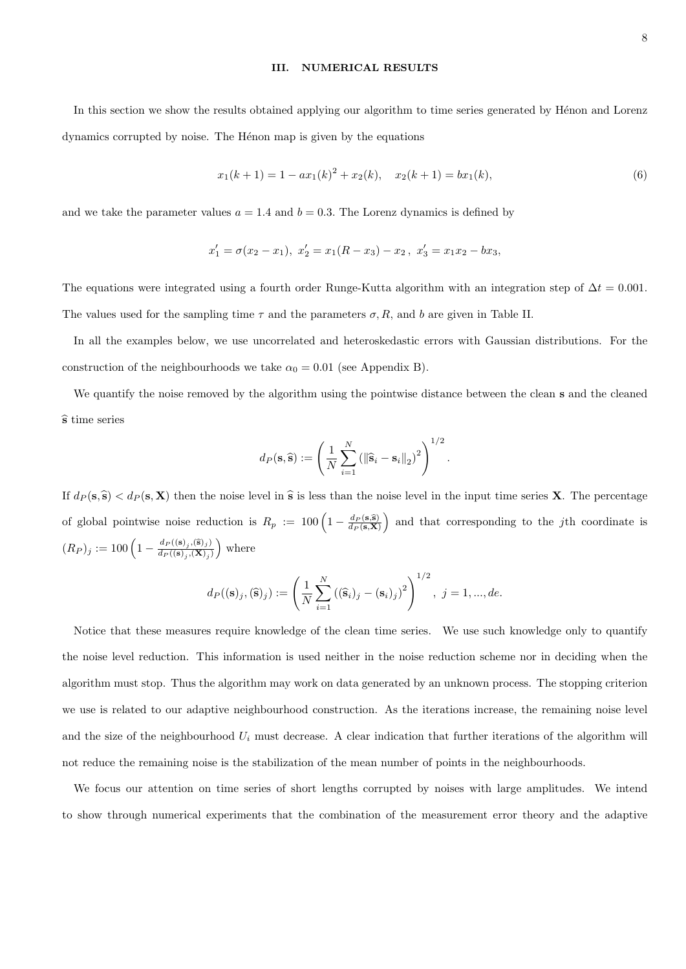#### III. NUMERICAL RESULTS

In this section we show the results obtained applying our algorithm to time series generated by Hénon and Lorenz dynamics corrupted by noise. The Hénon map is given by the equations

$$
x_1(k+1) = 1 - ax_1(k)^2 + x_2(k), \quad x_2(k+1) = bx_1(k), \tag{6}
$$

and we take the parameter values  $a = 1.4$  and  $b = 0.3$ . The Lorenz dynamics is defined by

$$
x_1' = \sigma(x_2 - x_1), \ x_2' = x_1(R - x_3) - x_2, \ x_3' = x_1x_2 - bx_3,
$$

The equations were integrated using a fourth order Runge-Kutta algorithm with an integration step of  $\Delta t = 0.001$ . The values used for the sampling time  $\tau$  and the parameters  $\sigma$ , R, and b are given in Table II.

In all the examples below, we use uncorrelated and heteroskedastic errors with Gaussian distributions. For the construction of the neighbourhoods we take  $\alpha_0 = 0.01$  (see Appendix B).

We quantify the noise removed by the algorithm using the pointwise distance between the clean s and the cleaned  $\hat{s}$  time series

$$
d_P(\mathbf{s}, \widehat{\mathbf{s}}) := \left(\frac{1}{N} \sum_{i=1}^N \left(\|\widehat{\mathbf{s}}_i - \mathbf{s}_i\|_2\right)^2\right)^{1/2}.
$$

If  $d_P (s, \hat{s}) < d_P (s, X)$  then the noise level in  $\hat{s}$  is less than the noise level in the input time series X. The percentage of global pointwise noise reduction is  $R_p := 100 \left(1 - \frac{d_P(s,\hat{s})}{d_P(s,X)}\right)$  and that corresponding to the *j*th coordinate is  $(R_P)_j := 100 \left(1 - \frac{d_P((s)_j, \hat{s})_j}{d_P((s)_j, \hat{X})_j}\right)$  $\frac{d_P((\mathbf{s})_j,(\mathbf{\hat{s}})_j)}{d_P((\mathbf{s})_j,(\mathbf{X})_j)}$  where

$$
d_P((\mathbf{s})_j, (\widehat{\mathbf{s}})_j) := \left(\frac{1}{N} \sum_{i=1}^N ((\widehat{\mathbf{s}}_i)_j - (\mathbf{s}_i)_j)^2\right)^{1/2}, \ j = 1, ..., de.
$$

Notice that these measures require knowledge of the clean time series. We use such knowledge only to quantify the noise level reduction. This information is used neither in the noise reduction scheme nor in deciding when the algorithm must stop. Thus the algorithm may work on data generated by an unknown process. The stopping criterion we use is related to our adaptive neighbourhood construction. As the iterations increase, the remaining noise level and the size of the neighbourhood  $U_i$  must decrease. A clear indication that further iterations of the algorithm will not reduce the remaining noise is the stabilization of the mean number of points in the neighbourhoods.

We focus our attention on time series of short lengths corrupted by noises with large amplitudes. We intend to show through numerical experiments that the combination of the measurement error theory and the adaptive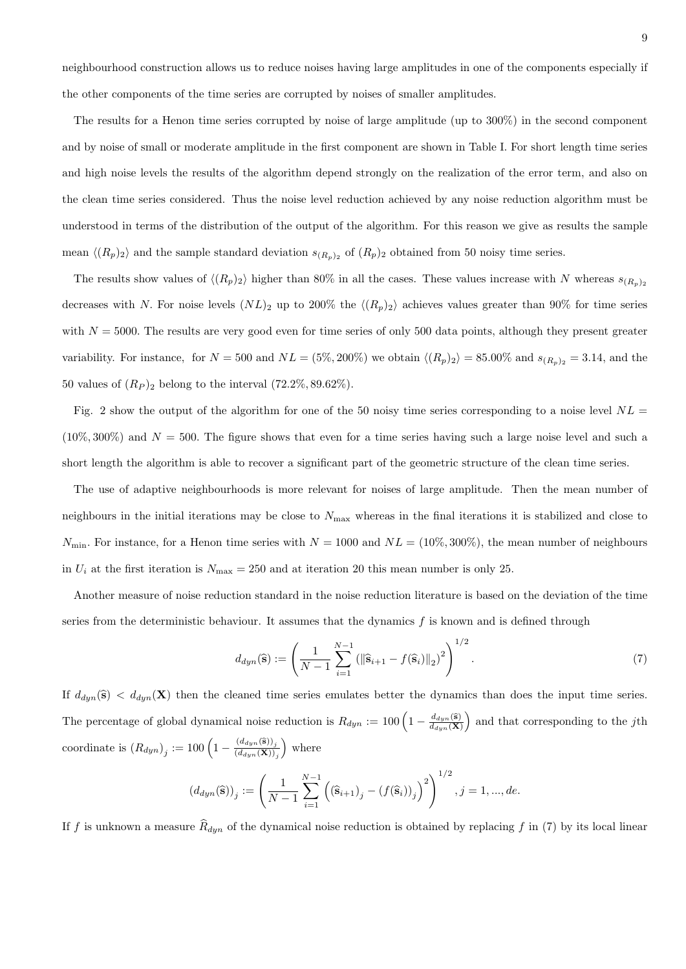neighbourhood construction allows us to reduce noises having large amplitudes in one of the components especially if the other components of the time series are corrupted by noises of smaller amplitudes.

The results for a Henon time series corrupted by noise of large amplitude (up to 300%) in the second component and by noise of small or moderate amplitude in the first component are shown in Table I. For short length time series and high noise levels the results of the algorithm depend strongly on the realization of the error term, and also on the clean time series considered. Thus the noise level reduction achieved by any noise reduction algorithm must be understood in terms of the distribution of the output of the algorithm. For this reason we give as results the sample mean  $\langle (R_p)_2 \rangle$  and the sample standard deviation  $s_{(R_p)_2}$  of  $(R_p)_2$  obtained from 50 noisy time series.

The results show values of  $\langle (R_p)_2 \rangle$  higher than 80% in all the cases. These values increase with N whereas  $s_{(R_p)_2}$ decreases with N. For noise levels  $(NL)_2$  up to 200% the  $\langle (R_p)_2 \rangle$  achieves values greater than 90% for time series with  $N = 5000$ . The results are very good even for time series of only 500 data points, although they present greater variability. For instance, for  $N = 500$  and  $NL = (5\%, 200\%)$  we obtain  $\langle (R_p)_2 \rangle = 85.00\%$  and  $s_{(R_p)_2} = 3.14$ , and the 50 values of  $(R_P)_2$  belong to the interval  $(72.2\%, 89.62\%).$ 

Fig. 2 show the output of the algorithm for one of the 50 noisy time series corresponding to a noise level  $NL =$  $(10\%, 300\%)$  and  $N = 500$ . The figure shows that even for a time series having such a large noise level and such a short length the algorithm is able to recover a significant part of the geometric structure of the clean time series.

The use of adaptive neighbourhoods is more relevant for noises of large amplitude. Then the mean number of neighbours in the initial iterations may be close to  $N_{\text{max}}$  whereas in the final iterations it is stabilized and close to  $N_{\text{min}}$ . For instance, for a Henon time series with  $N = 1000$  and  $NL = (10\%, 300\%)$ , the mean number of neighbours in  $U_i$  at the first iteration is  $N_{\text{max}} = 250$  and at iteration 20 this mean number is only 25.

Another measure of noise reduction standard in the noise reduction literature is based on the deviation of the time series from the deterministic behaviour. It assumes that the dynamics  $f$  is known and is defined through

$$
d_{dyn}(\widehat{\mathbf{s}}) := \left(\frac{1}{N-1} \sum_{i=1}^{N-1} \left(\|\widehat{\mathbf{s}}_{i+1} - f(\widehat{\mathbf{s}}_i)\|_2\right)^2\right)^{1/2}.
$$
\n(7)

If  $d_{dyn}(\hat{s}) < d_{dyn}(X)$  then the cleaned time series emulates better the dynamics than does the input time series. The percentage of global dynamical noise reduction is  $R_{dyn} := 100 \left(1 - \frac{d_{dyn}(\hat{s})}{d_{dyn}(X)}\right)$  and that corresponding to the jth coordinate is  $(R_{dyn})_j := 100 \left(1 - \frac{(d_{dyn}(\mathbf{\hat{s}}))_j}{(d_{dyn}(\mathbf{X}))}\right)$  $(d_{dyn}(\mathbf{X}))_j$ where

$$
(d_{dyn}(\widehat{\mathbf{s}}))_j := \left(\frac{1}{N-1} \sum_{i=1}^{N-1} \left( (\widehat{\mathbf{s}}_{i+1})_j - (f(\widehat{\mathbf{s}}_i))_j \right)^2 \right)^{1/2}, j = 1, ..., de.
$$

If f is unknown a measure  $\widehat{R}_{dyn}$  of the dynamical noise reduction is obtained by replacing f in (7) by its local linear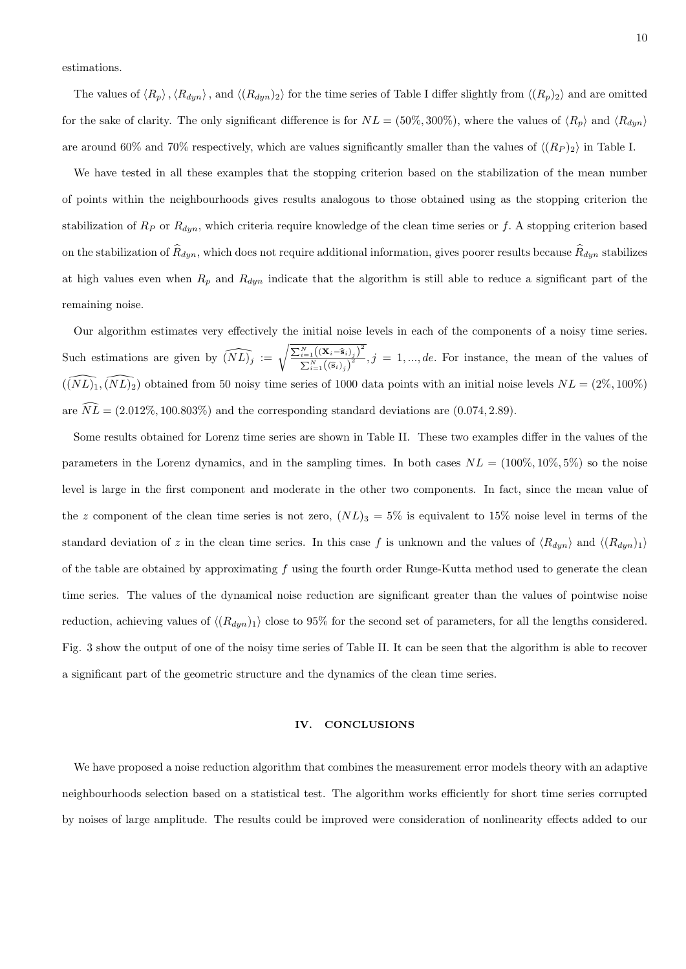estimations.

The values of  $\langle R_p \rangle$ ,  $\langle R_{dyn} \rangle$ , and  $\langle (R_{dyn})_2 \rangle$  for the time series of Table I differ slightly from  $\langle (R_p)_2 \rangle$  and are omitted for the sake of clarity. The only significant difference is for  $NL = (50\%, 300\%)$ , where the values of  $\langle R_p \rangle$  and  $\langle R_{dyn} \rangle$ are around 60% and 70% respectively, which are values significantly smaller than the values of  $\langle (R_P)_2 \rangle$  in Table I.

We have tested in all these examples that the stopping criterion based on the stabilization of the mean number of points within the neighbourhoods gives results analogous to those obtained using as the stopping criterion the stabilization of  $R_P$  or  $R_{dyn}$ , which criteria require knowledge of the clean time series or f. A stopping criterion based on the stabilization of  $\hat{R}_{dyn}$ , which does not require additional information, gives poorer results because  $\hat{R}_{dyn}$  stabilizes at high values even when  $R_p$  and  $R_{dyn}$  indicate that the algorithm is still able to reduce a significant part of the remaining noise.

Our algorithm estimates very effectively the initial noise levels in each of the components of a noisy time series. Such estimations are given by  $\widehat{(NL)}_j := \sqrt{\frac{\sum_{i=1}^N ((\mathbf{X}_i - \hat{\mathbf{s}}_{i})_j)^2}{N_1((\hat{\mathbf{s}}_i)^2)}}$  $\sum_{i=1}^{i=1} \left(\langle \hat{\mathbf{s}}_i \rangle_j \right)^2$ ,  $j = 1, ..., de$ . For instance, the mean of the values of  $((\widetilde{NL})_1, (\widetilde{NL})_2)$  obtained from 50 noisy time series of 1000 data points with an initial noise levels  $NL = (2\%, 100\%)$ are  $\widehat{NL} = (2.012\%, 100.803\%)$  and the corresponding standard deviations are  $(0.074, 2.89)$ .

Some results obtained for Lorenz time series are shown in Table II. These two examples differ in the values of the parameters in the Lorenz dynamics, and in the sampling times. In both cases  $NL = (100\%, 10\%, 5\%)$  so the noise level is large in the first component and moderate in the other two components. In fact, since the mean value of the z component of the clean time series is not zero,  $(NL)_3 = 5\%$  is equivalent to 15% noise level in terms of the standard deviation of z in the clean time series. In this case f is unknown and the values of  $\langle R_{dyn} \rangle$  and  $\langle (R_{dyn})_1 \rangle$ of the table are obtained by approximating f using the fourth order Runge-Kutta method used to generate the clean time series. The values of the dynamical noise reduction are significant greater than the values of pointwise noise reduction, achieving values of  $\langle (R_{dyn})_1 \rangle$  close to 95% for the second set of parameters, for all the lengths considered. Fig. 3 show the output of one of the noisy time series of Table II. It can be seen that the algorithm is able to recover a significant part of the geometric structure and the dynamics of the clean time series.

### IV. CONCLUSIONS

We have proposed a noise reduction algorithm that combines the measurement error models theory with an adaptive neighbourhoods selection based on a statistical test. The algorithm works efficiently for short time series corrupted by noises of large amplitude. The results could be improved were consideration of nonlinearity effects added to our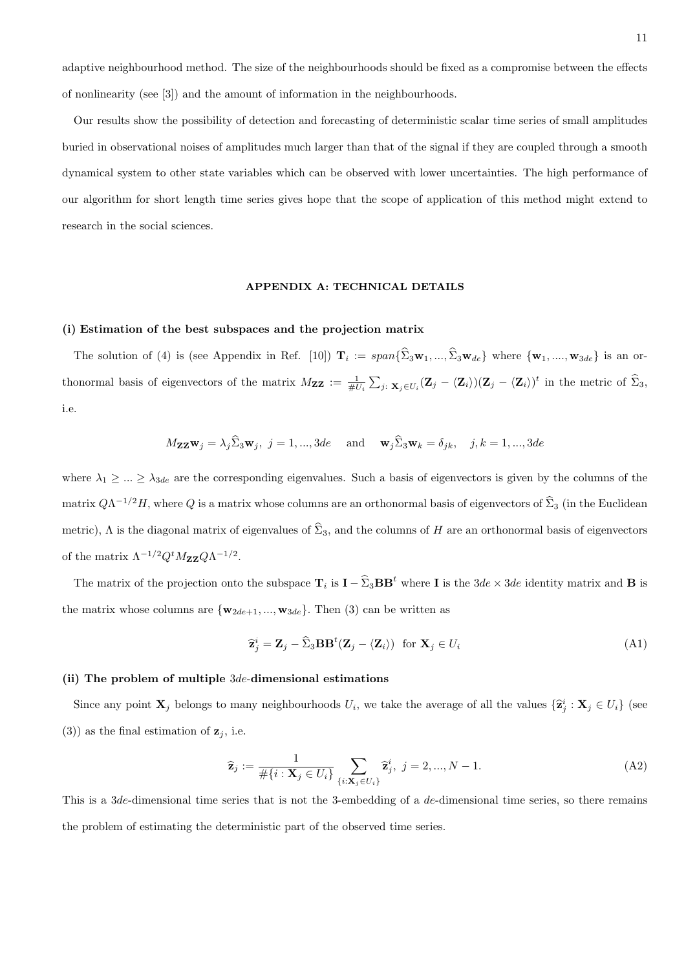adaptive neighbourhood method. The size of the neighbourhoods should be fixed as a compromise between the effects of nonlinearity (see [3]) and the amount of information in the neighbourhoods.

Our results show the possibility of detection and forecasting of deterministic scalar time series of small amplitudes buried in observational noises of amplitudes much larger than that of the signal if they are coupled through a smooth dynamical system to other state variables which can be observed with lower uncertainties. The high performance of our algorithm for short length time series gives hope that the scope of application of this method might extend to research in the social sciences.

# APPENDIX A: TECHNICAL DETAILS

# (i) Estimation of the best subspaces and the projection matrix

The solution of (4) is (see Appendix in Ref. [10])  $\mathbf{T}_i := span\{\Sigma_3 \mathbf{w}_1, ..., \Sigma_3 \mathbf{w}_{de}\}\$  where  $\{\mathbf{w}_1, ..., \mathbf{w}_{3de}\}\$  is an orthonormal basis of eigenvectors of the matrix  $M_{ZZ} := \frac{1}{\#U_i} \sum_{j: \mathbf{x}_j \in U_i} (\mathbf{Z}_j - \langle \mathbf{Z}_i \rangle)(\mathbf{Z}_j - \langle \mathbf{Z}_i \rangle)^t$  in the metric of  $\widehat{\Sigma}_3$ , i.e.

$$
M_{\mathbf{ZZW}}j = \lambda_j \widehat{\Sigma}_3 \mathbf{w}_j, \ j = 1, ..., 3de \quad \text{and} \quad \mathbf{w}_j \widehat{\Sigma}_3 \mathbf{w}_k = \delta_{jk}, \quad j, k = 1, ..., 3de
$$

where  $\lambda_1 \geq \ldots \geq \lambda_{3de}$  are the corresponding eigenvalues. Such a basis of eigenvectors is given by the columns of the matrix  $Q\Lambda^{-1/2}H$ , where  $Q$  is a matrix whose columns are an orthonormal basis of eigenvectors of  $\hat{\Sigma}_3$  (in the Euclidean metric),  $\Lambda$  is the diagonal matrix of eigenvalues of  $\widehat{\Sigma}_3$ , and the columns of H are an orthonormal basis of eigenvectors of the matrix  $\Lambda^{-1/2} Q^t M_{\mathbf{Z} \mathbf{Z}} Q \Lambda^{-1/2}$ .

The matrix of the projection onto the subspace  $\mathbf{T}_i$  is  $\mathbf{I} - \widehat{\Sigma}_3 \mathbf{BB}^t$  where **I** is the  $3de \times 3de$  identity matrix and **B** is the matrix whose columns are  $\{w_{2de+1}, ..., w_{3de}\}$ . Then (3) can be written as

$$
\hat{\mathbf{z}}_j^i = \mathbf{Z}_j - \hat{\Sigma}_3 \mathbf{B} \mathbf{B}^t (\mathbf{Z}_j - \langle \mathbf{Z}_i \rangle) \text{ for } \mathbf{X}_j \in U_i
$$
\n(A1)

#### (ii) The problem of multiple 3de-dimensional estimations

Since any point  $\mathbf{X}_j$  belongs to many neighbourhoods  $U_i$ , we take the average of all the values  $\{\hat{\mathbf{z}}_j^i : \mathbf{X}_j \in U_i\}$  (see (3)) as the final estimation of  $z_j$ , i.e.

$$
\widehat{\mathbf{z}}_j := \frac{1}{\#\{i : \mathbf{X}_j \in U_i\}} \sum_{\{i : \mathbf{X}_j \in U_i\}} \widehat{\mathbf{z}}_j^i, \ j = 2, ..., N - 1. \tag{A2}
$$

This is a 3de-dimensional time series that is not the 3-embedding of a de-dimensional time series, so there remains the problem of estimating the deterministic part of the observed time series.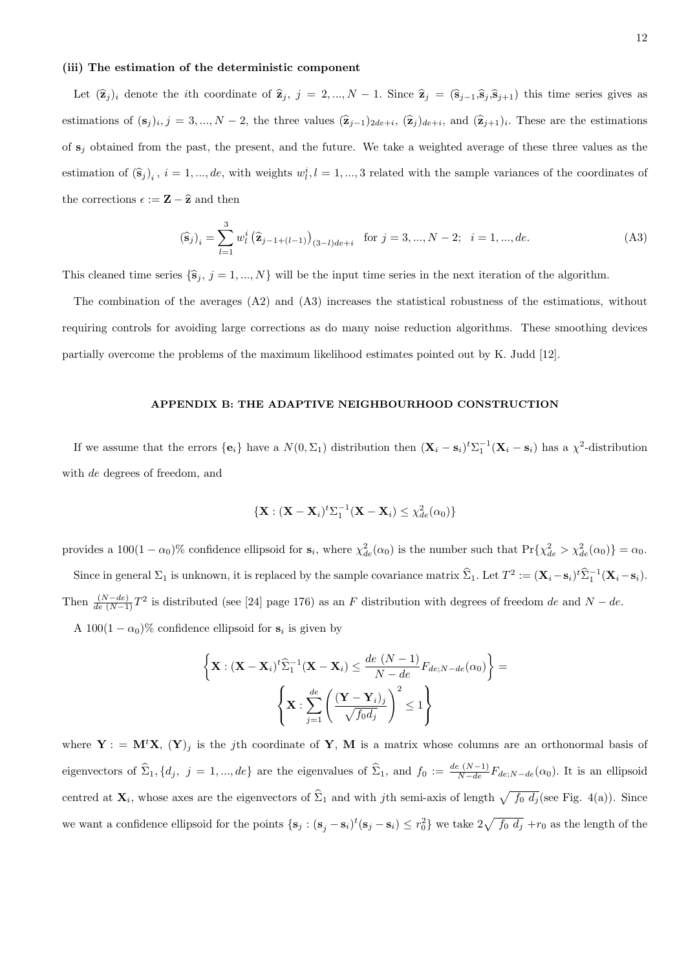### (iii) The estimation of the deterministic component

Let  $(\hat{\mathbf{z}}_j)_i$  denote the *i*th coordinate of  $\hat{\mathbf{z}}_j$ , j = 2, ..., N − 1. Since  $\hat{\mathbf{z}}_j = (\hat{\mathbf{s}}_{j-1},\hat{\mathbf{s}}_j,\hat{\mathbf{s}}_{j+1})$  this time series gives as estimations of  $(\mathbf{s}_j)_i$ ,  $j = 3, ..., N-2$ , the three values  $(\hat{\mathbf{z}}_{j-1})_{2de+i}$ ,  $(\hat{\mathbf{z}}_j)_{de+i}$ , and  $(\hat{\mathbf{z}}_{j+1})_i$ . These are the estimations of  $s_i$  obtained from the past, the present, and the future. We take a weighted average of these three values as the estimation of  $(\hat{\mathbf{s}}_j)_i$ ,  $i = 1, ..., de$ , with weights  $w_i^i, l = 1, ..., 3$  related with the sample variances of the coordinates of the corrections  $\epsilon := \mathbf{Z} - \widehat{\mathbf{z}}$  and then

$$
\left(\widehat{\mathbf{s}}_{j}\right)_{i} = \sum_{l=1}^{3} w_{l}^{i} \left(\widehat{\mathbf{z}}_{j-1+(l-1)}\right)_{(3-l)de+i} \quad \text{for } j = 3, ..., N-2; \quad i = 1, ..., de. \tag{A3}
$$

This cleaned time series  $\{\hat{\mathbf{s}}_j, j = 1, ..., N\}$  will be the input time series in the next iteration of the algorithm.

The combination of the averages (A2) and (A3) increases the statistical robustness of the estimations, without requiring controls for avoiding large corrections as do many noise reduction algorithms. These smoothing devices partially overcome the problems of the maximum likelihood estimates pointed out by K. Judd [12].

### APPENDIX B: THE ADAPTIVE NEIGHBOURHOOD CONSTRUCTION

If we assume that the errors  $\{\mathbf{e}_i\}$  have a  $N(0, \Sigma_1)$  distribution then  $(\mathbf{X}_i - \mathbf{s}_i)^t \Sigma_1^{-1} (\mathbf{X}_i - \mathbf{s}_i)$  has a  $\chi^2$ -distribution with de degrees of freedom, and

$$
\{ \mathbf{X} : (\mathbf{X} - \mathbf{X}_i)^t \Sigma_1^{-1} (\mathbf{X} - \mathbf{X}_i) \leq \chi_{de}^2(\alpha_0) \}
$$

provides a  $100(1 - \alpha_0)\%$  confidence ellipsoid for  $s_i$ , where  $\chi^2_{de}(\alpha_0)$  is the number such that  $\Pr{\chi^2_{de} > \chi^2_{de}(\alpha_0)} = \alpha_0$ .

Since in general  $\Sigma_1$  is unknown, it is replaced by the sample covariance matrix  $\hat{\Sigma}_1$ . Let  $T^2 := (\mathbf{X}_i - \mathbf{s}_i)^t \hat{\Sigma}_1^{-1} (\mathbf{X}_i - \mathbf{s}_i)$ . Then  $\frac{(N-de)}{de(N-1)}T^2$  is distributed (see [24] page 176) as an F distribution with degrees of freedom de and  $N-de$ . A  $100(1 - \alpha_0)$ % confidence ellipsoid for  $s_i$  is given by

$$
\left\{ \mathbf{X} : (\mathbf{X} - \mathbf{X}_i)^t \widehat{\Sigma}_1^{-1} (\mathbf{X} - \mathbf{X}_i) \le \frac{de (N-1)}{N-de} F_{de;N-de}(\alpha_0) \right\} = \n\left\{ \mathbf{X} : \sum_{j=1}^{de} \left( \frac{(\mathbf{Y} - \mathbf{Y}_i)_j}{\sqrt{f_0 d_j}} \right)^2 \le 1 \right\}
$$

where  $Y = M<sup>t</sup>X$ ,  $(Y)<sub>j</sub>$  is the j<sup>th</sup> coordinate of Y, M is a matrix whose columns are an orthonormal basis of eigenvectors of  $\hat{\Sigma}_1$ ,  $\{d_j, j = 1, ..., de\}$  are the eigenvalues of  $\hat{\Sigma}_1$ , and  $f_0 := \frac{de(N-1)}{N-de} F_{de;N-de}(\alpha_0)$ . It is an ellipsoid centred at  $\mathbf{X}_i$ , whose axes are the eigenvectors of  $\hat{\Sigma}_1$  and with jth semi-axis of length  $\sqrt{f_0 d_j}$  (see Fig. 4(a)). Since we want a confidence ellipsoid for the points  $\{s_j : (s_j - s_i)^t (s_j - s_i) \le r_0^2\}$  we take  $2\sqrt{f_0 d_j} + r_0$  as the length of the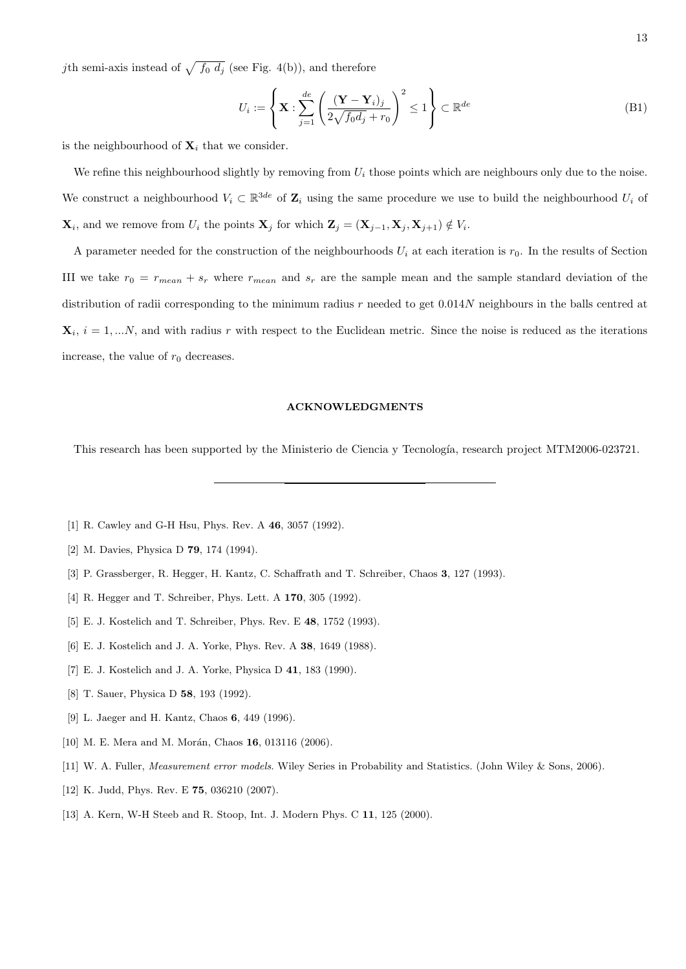jth semi-axis instead of  $\sqrt{f_0 d_j}$  (see Fig. 4(b)), and therefore

$$
U_i := \left\{ \mathbf{X} : \sum_{j=1}^{de} \left( \frac{(\mathbf{Y} - \mathbf{Y}_i)_j}{2\sqrt{f_0 d_j} + r_0} \right)^2 \le 1 \right\} \subset \mathbb{R}^{de}
$$
 (B1)

is the neighbourhood of  $\mathbf{X}_i$  that we consider.

We refine this neighbourhood slightly by removing from  $U_i$  those points which are neighbours only due to the noise. We construct a neighbourhood  $V_i \subset \mathbb{R}^{3de}$  of  $\mathbb{Z}_i$  using the same procedure we use to build the neighbourhood  $U_i$  of  $\mathbf{X}_i$ , and we remove from  $U_i$  the points  $\mathbf{X}_j$  for which  $\mathbf{Z}_j = (\mathbf{X}_{j-1}, \mathbf{X}_j, \mathbf{X}_{j+1}) \notin V_i$ .

A parameter needed for the construction of the neighbourhoods  $U_i$  at each iteration is  $r_0$ . In the results of Section III we take  $r_0 = r_{mean} + s_r$  where  $r_{mean}$  and  $s_r$  are the sample mean and the sample standard deviation of the distribution of radii corresponding to the minimum radius r needed to get 0.014N neighbours in the balls centred at  $\mathbf{X}_i$ ,  $i = 1, \dots N$ , and with radius r with respect to the Euclidean metric. Since the noise is reduced as the iterations increase, the value of  $r_0$  decreases.

### ACKNOWLEDGMENTS

This research has been supported by the Ministerio de Ciencia y Tecnología, research project MTM2006-023721.

- [1] R. Cawley and G-H Hsu, Phys. Rev. A 46, 3057 (1992).
- [2] M. Davies, Physica D 79, 174 (1994).
- [3] P. Grassberger, R. Hegger, H. Kantz, C. Schaffrath and T. Schreiber, Chaos 3, 127 (1993).
- [4] R. Hegger and T. Schreiber, Phys. Lett. A **170**, 305 (1992).
- [5] E. J. Kostelich and T. Schreiber, Phys. Rev. E 48, 1752 (1993).
- [6] E. J. Kostelich and J. A. Yorke, Phys. Rev. A 38, 1649 (1988).
- [7] E. J. Kostelich and J. A. Yorke, Physica D 41, 183 (1990).
- [8] T. Sauer, Physica D 58, 193 (1992).
- [9] L. Jaeger and H. Kantz, Chaos 6, 449 (1996).
- [10] M. E. Mera and M. Morán, Chaos 16, 013116 (2006).
- [11] W. A. Fuller, Measurement error models. Wiley Series in Probability and Statistics. (John Wiley & Sons, 2006).
- [12] K. Judd, Phys. Rev. E 75, 036210 (2007).
- [13] A. Kern, W-H Steeb and R. Stoop, Int. J. Modern Phys. C 11, 125 (2000).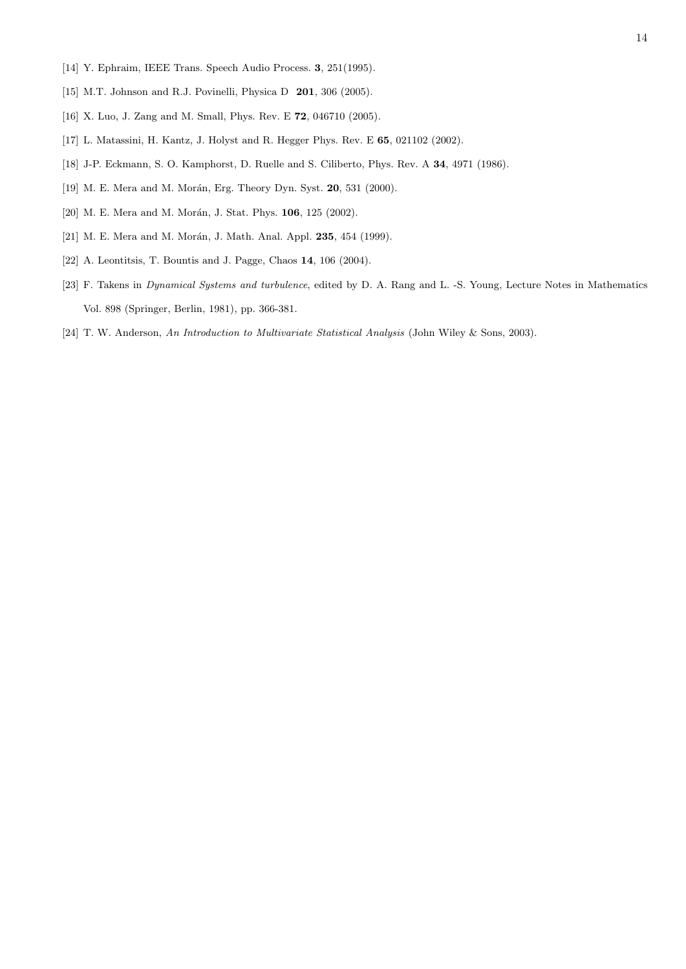- [14] Y. Ephraim, IEEE Trans. Speech Audio Process. 3, 251(1995).
- [15] M.T. Johnson and R.J. Povinelli, Physica D 201, 306 (2005).
- [16] X. Luo, J. Zang and M. Small, Phys. Rev. E 72, 046710 (2005).
- [17] L. Matassini, H. Kantz, J. Holyst and R. Hegger Phys. Rev. E 65, 021102 (2002).
- [18] J-P. Eckmann, S. O. Kamphorst, D. Ruelle and S. Ciliberto, Phys. Rev. A 34, 4971 (1986).
- [19] M. E. Mera and M. Morán, Erg. Theory Dyn. Syst. 20, 531 (2000).
- [20] M. E. Mera and M. Morán, J. Stat. Phys. 106, 125 (2002).
- [21] M. E. Mera and M. Morán, J. Math. Anal. Appl. 235, 454 (1999).
- [22] A. Leontitsis, T. Bountis and J. Pagge, Chaos 14, 106 (2004).
- [23] F. Takens in *Dynamical Systems and turbulence*, edited by D. A. Rang and L. -S. Young, Lecture Notes in Mathematics Vol. 898 (Springer, Berlin, 1981), pp. 366-381.
- [24] T. W. Anderson, An Introduction to Multivariate Statistical Analysis (John Wiley & Sons, 2003).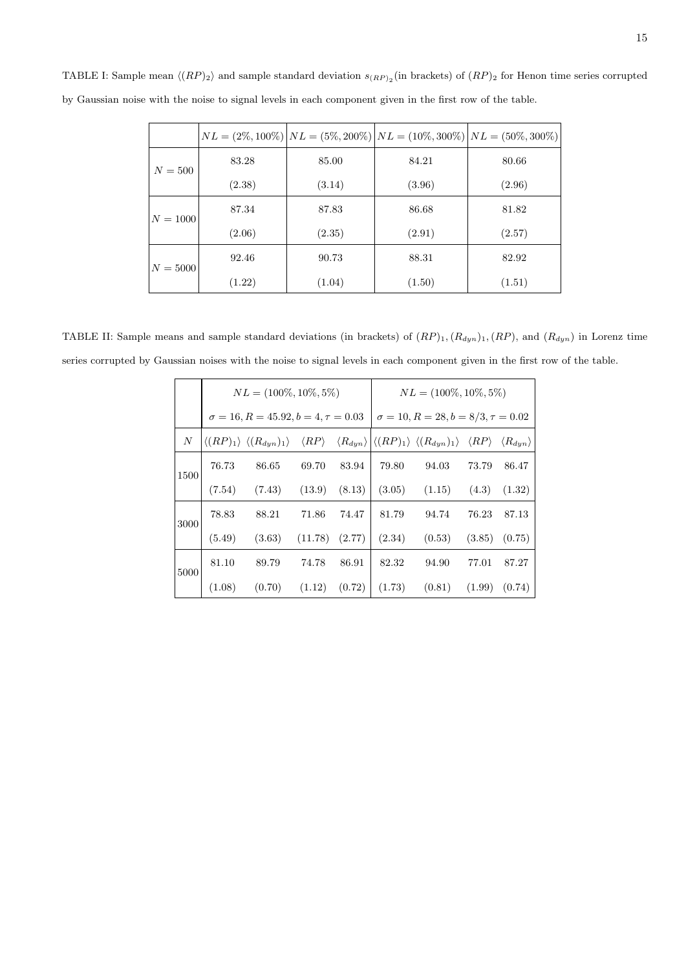|            |        |        | $NL = (2\%, 100\%)   NL = (5\%, 200\%)   NL = (10\%, 300\%)   NL = (50\%, 300\%)$ |        |  |
|------------|--------|--------|-----------------------------------------------------------------------------------|--------|--|
| $N = 500$  | 83.28  | 85.00  | 84.21                                                                             | 80.66  |  |
|            | (2.38) | (3.14) | (3.96)                                                                            | (2.96) |  |
| $N = 1000$ | 87.34  | 87.83  | 86.68                                                                             | 81.82  |  |
|            | (2.06) | (2.35) | (2.91)                                                                            | (2.57) |  |
| $N = 5000$ | 92.46  | 90.73  | 88.31                                                                             | 82.92  |  |
|            | (1.22) | (1.04) | (1.50)                                                                            | (1.51) |  |

TABLE I: Sample mean  $\langle (RP)_2 \rangle$  and sample standard deviation  $s_{(RP)_2}$  (in brackets) of  $(RP)_2$  for Henon time series corrupted by Gaussian noise with the noise to signal levels in each component given in the first row of the table.

TABLE II: Sample means and sample standard deviations (in brackets) of  $(RP)_1$ ,  $(R_{dyn})_1$ ,  $(RP)$ , and  $(R_{dyn})$  in Lorenz time series corrupted by Gaussian noises with the noise to signal levels in each component given in the first row of the table.

|                  | $NL = (100\%, 10\%, 5\%)$ |                                                                                                                                                                                                |         |        | $NL = (100\%, 10\%, 5\%)$                   |        |        |        |
|------------------|---------------------------|------------------------------------------------------------------------------------------------------------------------------------------------------------------------------------------------|---------|--------|---------------------------------------------|--------|--------|--------|
|                  |                           | $\sigma = 16, R = 45.92, b = 4, \tau = 0.03$                                                                                                                                                   |         |        | $\sigma = 10, R = 28, b = 8/3, \tau = 0.02$ |        |        |        |
| $\boldsymbol{N}$ |                           | $\langle (RP)_1 \rangle \langle (R_{dyn})_1 \rangle \langle RP \rangle \langle R_{dyn} \rangle  \langle (RP)_1 \rangle \langle (R_{dyn})_1 \rangle \langle RP \rangle \langle R_{dyn} \rangle$ |         |        |                                             |        |        |        |
| 1500             | 76.73                     | 86.65                                                                                                                                                                                          | 69.70   | 83.94  | 79.80                                       | 94.03  | 73.79  | 86.47  |
|                  | (7.54)                    | (7.43)                                                                                                                                                                                         | (13.9)  | (8.13) | (3.05)                                      | (1.15) | (4.3)  | (1.32) |
| 3000             | 78.83                     | 88.21                                                                                                                                                                                          | 71.86   | 74.47  | 81.79                                       | 94.74  | 76.23  | 87.13  |
|                  | (5.49)                    | (3.63)                                                                                                                                                                                         | (11.78) | (2.77) | (2.34)                                      | (0.53) | (3.85) | (0.75) |
| 5000             | 81.10                     | 89.79                                                                                                                                                                                          | 74.78   | 86.91  | 82.32                                       | 94.90  | 77.01  | 87.27  |
|                  | (1.08)                    | (0.70)                                                                                                                                                                                         | (1.12)  | (0.72) | (1.73)                                      | (0.81) | (1.99) | (0.74) |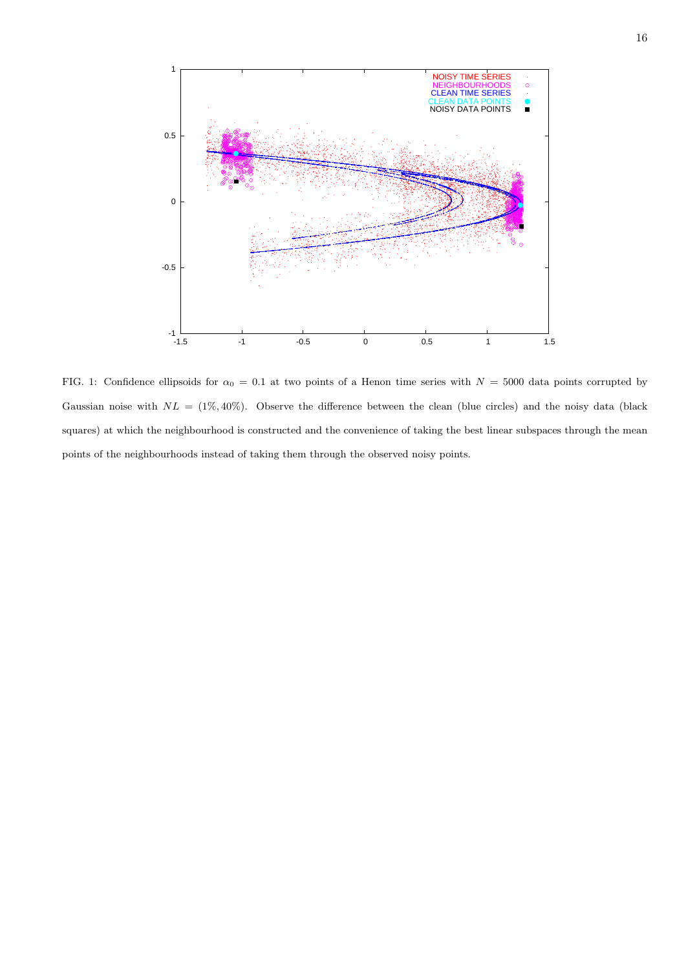

FIG. 1: Confidence ellipsoids for  $\alpha_0 = 0.1$  at two points of a Henon time series with  $N = 5000$  data points corrupted by Gaussian noise with  $NL = (1\%, 40\%)$ . Observe the difference between the clean (blue circles) and the noisy data (black squares) at which the neighbourhood is constructed and the convenience of taking the best linear subspaces through the mean points of the neighbourhoods instead of taking them through the observed noisy points.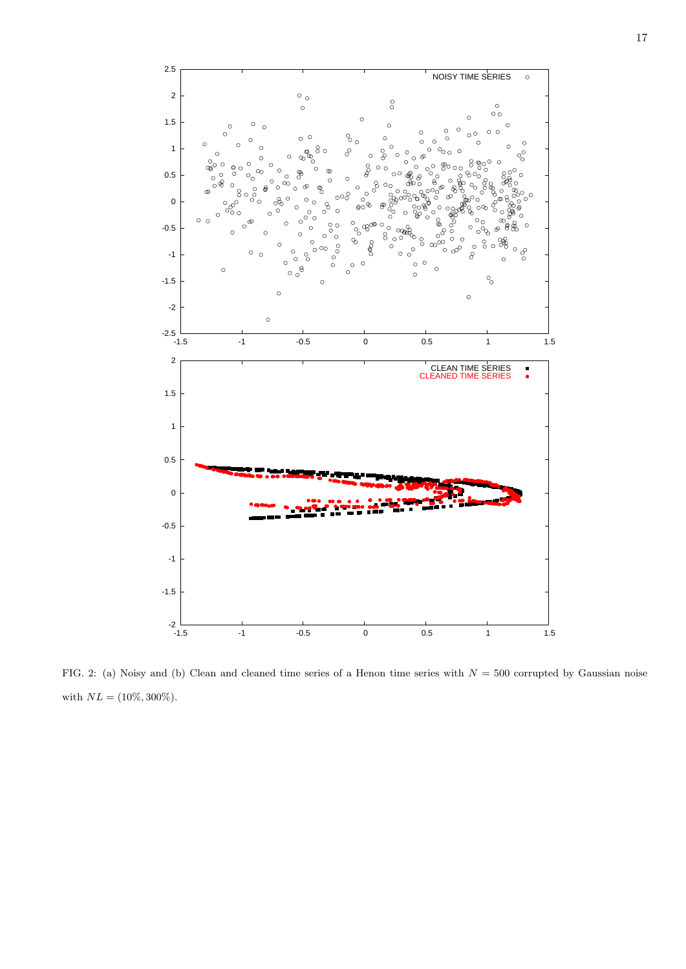

FIG. 2: (a) Noisy and (b) Clean and cleaned time series of a Henon time series with  $N = 500$  corrupted by Gaussian noise with  $NL = (10\%, 300\%).$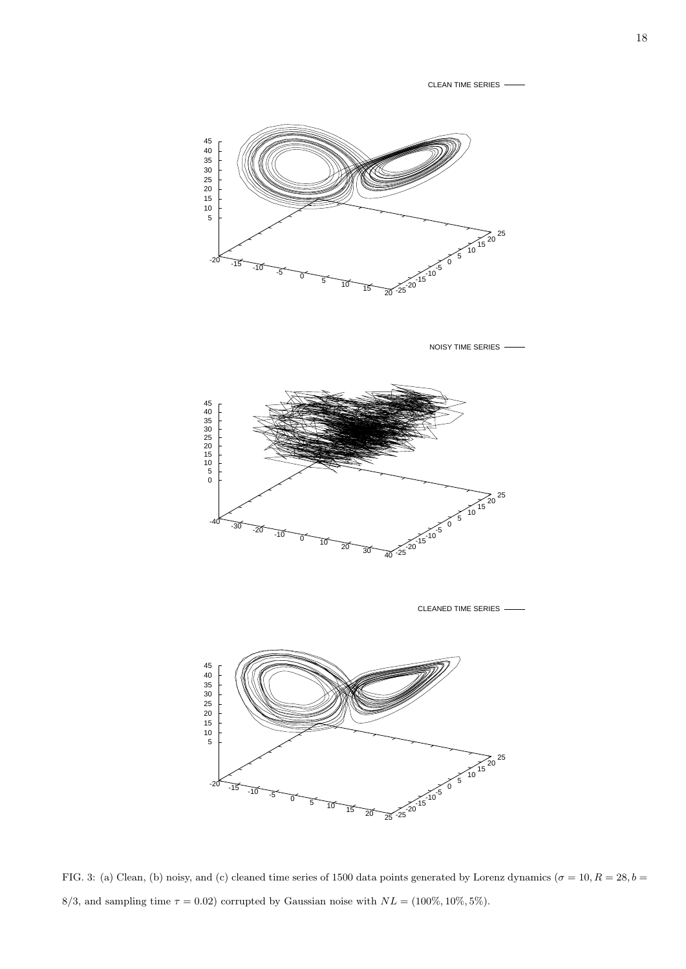CLEAN TIME SERIES



NOISY TIME SERIES



CLEANED TIME SERIES



FIG. 3: (a) Clean, (b) noisy, and (c) cleaned time series of 1500 data points generated by Lorenz dynamics ( $\sigma = 10, R = 28, b = 10$ 8/3, and sampling time  $\tau = 0.02$ ) corrupted by Gaussian noise with  $NL = (100\%, 10\%, 5\%).$